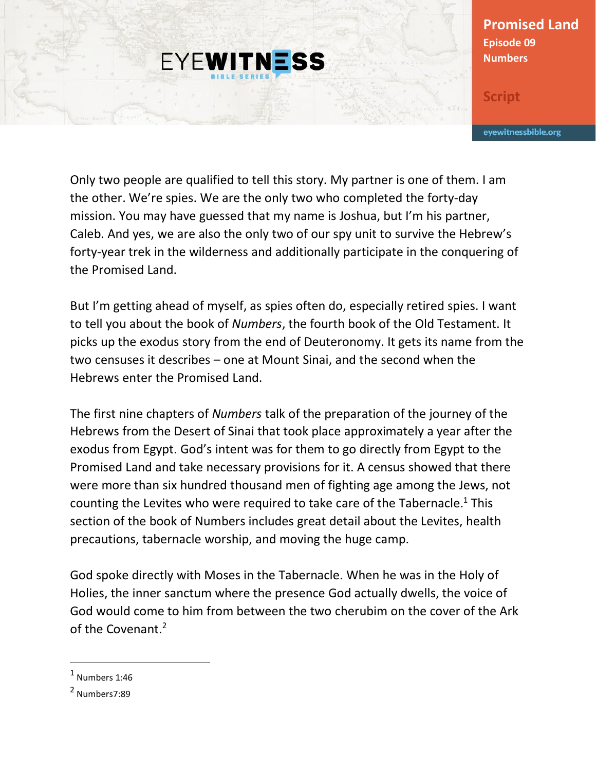## **Promised Land Episode 09 Numbers**

**Script**

eyewitnessbible.org

Only two people are qualified to tell this story. My partner is one of them. I am the other. We're spies. We are the only two who completed the forty-day mission. You may have guessed that my name is Joshua, but I'm his partner, Caleb. And yes, we are also the only two of our spy unit to survive the Hebrew's forty-year trek in the wilderness and additionally participate in the conquering of the Promised Land.

**EYEWITNESS** 

But I'm getting ahead of myself, as spies often do, especially retired spies. I want to tell you about the book of *Numbers*, the fourth book of the Old Testament. It picks up the exodus story from the end of Deuteronomy. It gets its name from the two censuses it describes – one at Mount Sinai, and the second when the Hebrews enter the Promised Land.

The first nine chapters of *Numbers* talk of the preparation of the journey of the Hebrews from the Desert of Sinai that took place approximately a year after the exodus from Egypt. God's intent was for them to go directly from Egypt to the Promised Land and take necessary provisions for it. A census showed that there were more than six hundred thousand men of fighting age among the Jews, not counting the Levites who were required to take care of the Tabernacle.<sup>1</sup> This section of the book of Numbers includes great detail about the Levites, health precautions, tabernacle worship, and moving the huge camp.

God spoke directly with Moses in the Tabernacle. When he was in the Holy of Holies, the inner sanctum where the presence God actually dwells, the voice of God would come to him from between the two cherubim on the cover of the Ark of the Covenant.<sup>2</sup>

 $<sup>1</sup>$  Numbers 1:46</sup>

<sup>&</sup>lt;sup>2</sup> Numbers7:89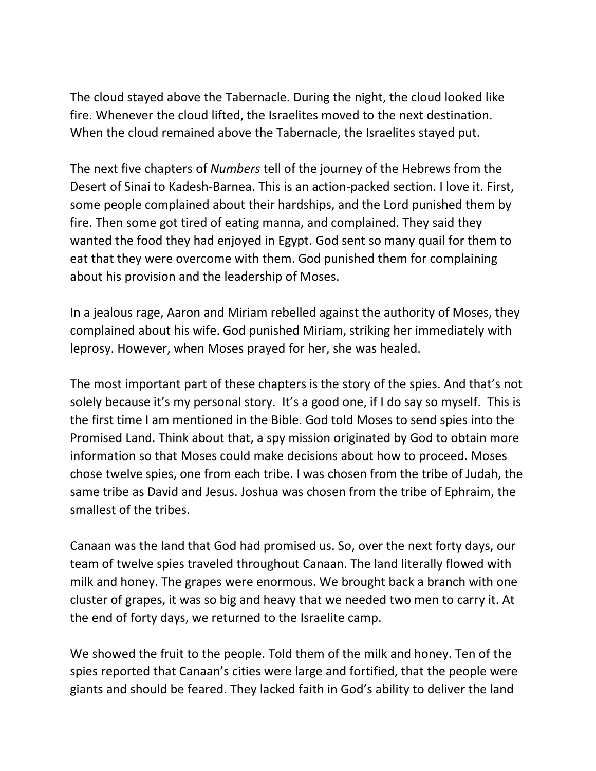The cloud stayed above the Tabernacle. During the night, the cloud looked like fire. Whenever the cloud lifted, the Israelites moved to the next destination. When the cloud remained above the Tabernacle, the Israelites stayed put.

The next five chapters of *Numbers* tell of the journey of the Hebrews from the Desert of Sinai to Kadesh-Barnea. This is an action-packed section. I love it. First, some people complained about their hardships, and the Lord punished them by fire. Then some got tired of eating manna, and complained. They said they wanted the food they had enjoyed in Egypt. God sent so many quail for them to eat that they were overcome with them. God punished them for complaining about his provision and the leadership of Moses.

In a jealous rage, Aaron and Miriam rebelled against the authority of Moses, they complained about his wife. God punished Miriam, striking her immediately with leprosy. However, when Moses prayed for her, she was healed.

The most important part of these chapters is the story of the spies. And that's not solely because it's my personal story. It's a good one, if I do say so myself. This is the first time I am mentioned in the Bible. God told Moses to send spies into the Promised Land. Think about that, a spy mission originated by God to obtain more information so that Moses could make decisions about how to proceed. Moses chose twelve spies, one from each tribe. I was chosen from the tribe of Judah, the same tribe as David and Jesus. Joshua was chosen from the tribe of Ephraim, the smallest of the tribes.

Canaan was the land that God had promised us. So, over the next forty days, our team of twelve spies traveled throughout Canaan. The land literally flowed with milk and honey. The grapes were enormous. We brought back a branch with one cluster of grapes, it was so big and heavy that we needed two men to carry it. At the end of forty days, we returned to the Israelite camp.

We showed the fruit to the people. Told them of the milk and honey. Ten of the spies reported that Canaan's cities were large and fortified, that the people were giants and should be feared. They lacked faith in God's ability to deliver the land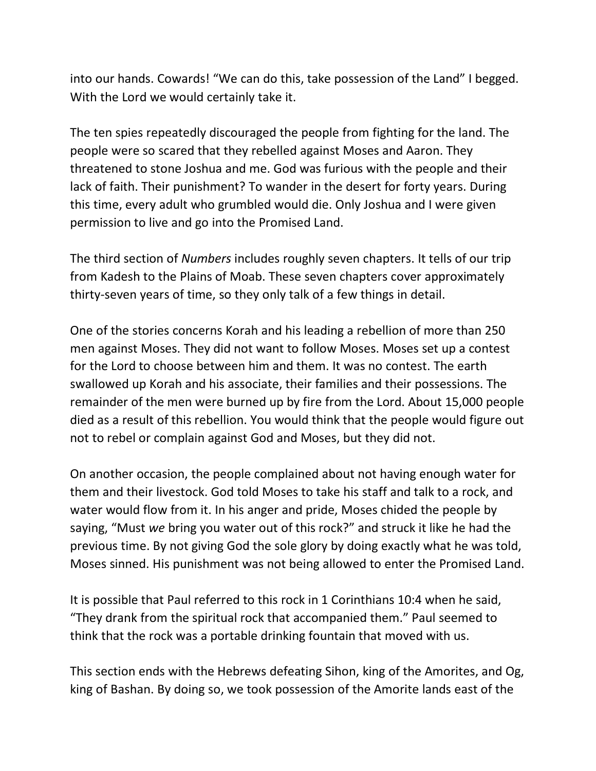into our hands. Cowards! "We can do this, take possession of the Land" I begged. With the Lord we would certainly take it.

The ten spies repeatedly discouraged the people from fighting for the land. The people were so scared that they rebelled against Moses and Aaron. They threatened to stone Joshua and me. God was furious with the people and their lack of faith. Their punishment? To wander in the desert for forty years. During this time, every adult who grumbled would die. Only Joshua and I were given permission to live and go into the Promised Land.

The third section of *Numbers* includes roughly seven chapters. It tells of our trip from Kadesh to the Plains of Moab. These seven chapters cover approximately thirty-seven years of time, so they only talk of a few things in detail.

One of the stories concerns Korah and his leading a rebellion of more than 250 men against Moses. They did not want to follow Moses. Moses set up a contest for the Lord to choose between him and them. It was no contest. The earth swallowed up Korah and his associate, their families and their possessions. The remainder of the men were burned up by fire from the Lord. About 15,000 people died as a result of this rebellion. You would think that the people would figure out not to rebel or complain against God and Moses, but they did not.

On another occasion, the people complained about not having enough water for them and their livestock. God told Moses to take his staff and talk to a rock, and water would flow from it. In his anger and pride, Moses chided the people by saying, "Must *we* bring you water out of this rock?" and struck it like he had the previous time. By not giving God the sole glory by doing exactly what he was told, Moses sinned. His punishment was not being allowed to enter the Promised Land.

It is possible that Paul referred to this rock in 1 Corinthians 10:4 when he said, "They drank from the spiritual rock that accompanied them." Paul seemed to think that the rock was a portable drinking fountain that moved with us.

This section ends with the Hebrews defeating Sihon, king of the Amorites, and Og, king of Bashan. By doing so, we took possession of the Amorite lands east of the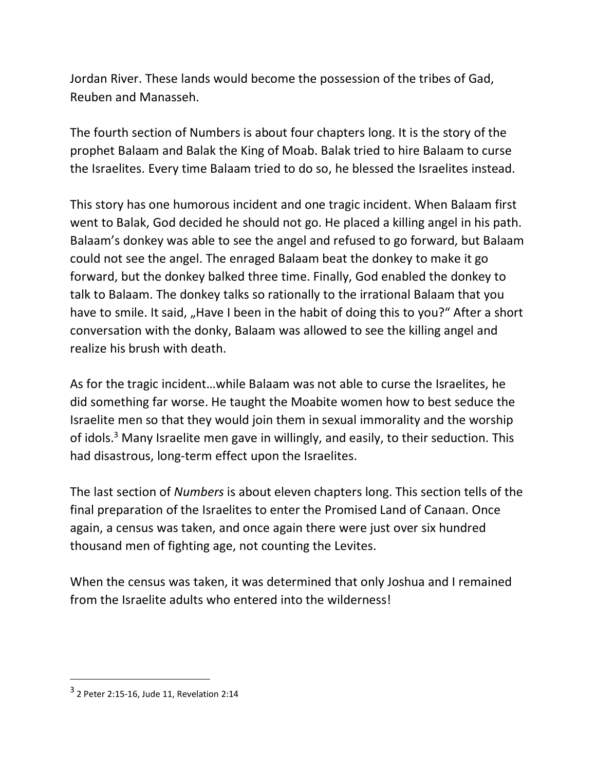Jordan River. These lands would become the possession of the tribes of Gad, Reuben and Manasseh.

The fourth section of Numbers is about four chapters long. It is the story of the prophet Balaam and Balak the King of Moab. Balak tried to hire Balaam to curse the Israelites. Every time Balaam tried to do so, he blessed the Israelites instead.

This story has one humorous incident and one tragic incident. When Balaam first went to Balak, God decided he should not go. He placed a killing angel in his path. Balaam's donkey was able to see the angel and refused to go forward, but Balaam could not see the angel. The enraged Balaam beat the donkey to make it go forward, but the donkey balked three time. Finally, God enabled the donkey to talk to Balaam. The donkey talks so rationally to the irrational Balaam that you have to smile. It said, "Have I been in the habit of doing this to you?" After a short conversation with the donky, Balaam was allowed to see the killing angel and realize his brush with death.

As for the tragic incident…while Balaam was not able to curse the Israelites, he did something far worse. He taught the Moabite women how to best seduce the Israelite men so that they would join them in sexual immorality and the worship of idols.<sup>3</sup> Many Israelite men gave in willingly, and easily, to their seduction. This had disastrous, long-term effect upon the Israelites.

The last section of *Numbers* is about eleven chapters long. This section tells of the final preparation of the Israelites to enter the Promised Land of Canaan. Once again, a census was taken, and once again there were just over six hundred thousand men of fighting age, not counting the Levites.

When the census was taken, it was determined that only Joshua and I remained from the Israelite adults who entered into the wilderness!

 $3$  2 Peter 2:15-16, Jude 11, Revelation 2:14